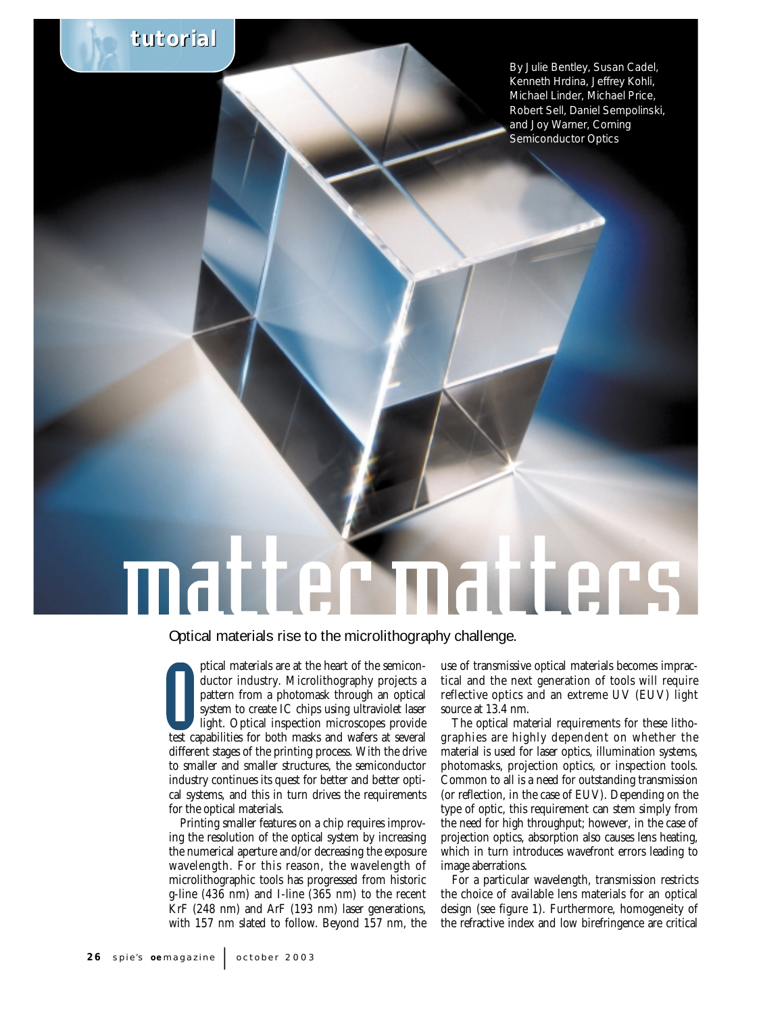

By Julie Bentley, Susan Cadel, Kenneth Hrdina, Jeffrey Kohli, Michael Linder, Michael Price, Robert Sell, Daniel Sempolinski, and Joy Warner, Corning Semiconductor Optics

## matter matters

Optical materials rise to the microlithography challenge.

attern from a photomask through an optical<br>system to create IC chips using ultraviolet laser<br>light. Optical inspection microscopes provide<br>test capabilities for both masks and wafers at several ptical materials are at the heart of the semiconductor industry. Microlithography projects a pattern from a photomask through an optical system to create IC chips using ultraviolet laser light. Optical inspection microscopes provide different stages of the printing process. With the drive to smaller and smaller structures, the semiconductor industry continues its quest for better and better optical systems, and this in turn drives the requirements for the optical materials.

Printing smaller features on a chip requires improving the resolution of the optical system by increasing the numerical aperture and/or decreasing the exposure wavelength. For this reason, the wavelength of microlithographic tools has progressed from historic g-line (436 nm) and I-line (365 nm) to the recent KrF (248 nm) and ArF (193 nm) laser generations, with 157 nm slated to follow. Beyond 157 nm, the

use of transmissive optical materials becomes impractical and the next generation of tools will require reflective optics and an extreme UV (EUV) light source at 13.4 nm.

The optical material requirements for these lithographies are highly dependent on whether the material is used for laser optics, illumination systems, photomasks, projection optics, or inspection tools. Common to all is a need for outstanding transmission (or reflection, in the case of EUV). Depending on the type of optic, this requirement can stem simply from the need for high throughput; however, in the case of projection optics, absorption also causes lens heating, which in turn introduces wavefront errors leading to image aberrations.

For a particular wavelength, transmission restricts the choice of available lens materials for an optical design (see figure 1). Furthermore, homogeneity of the refractive index and low birefringence are critical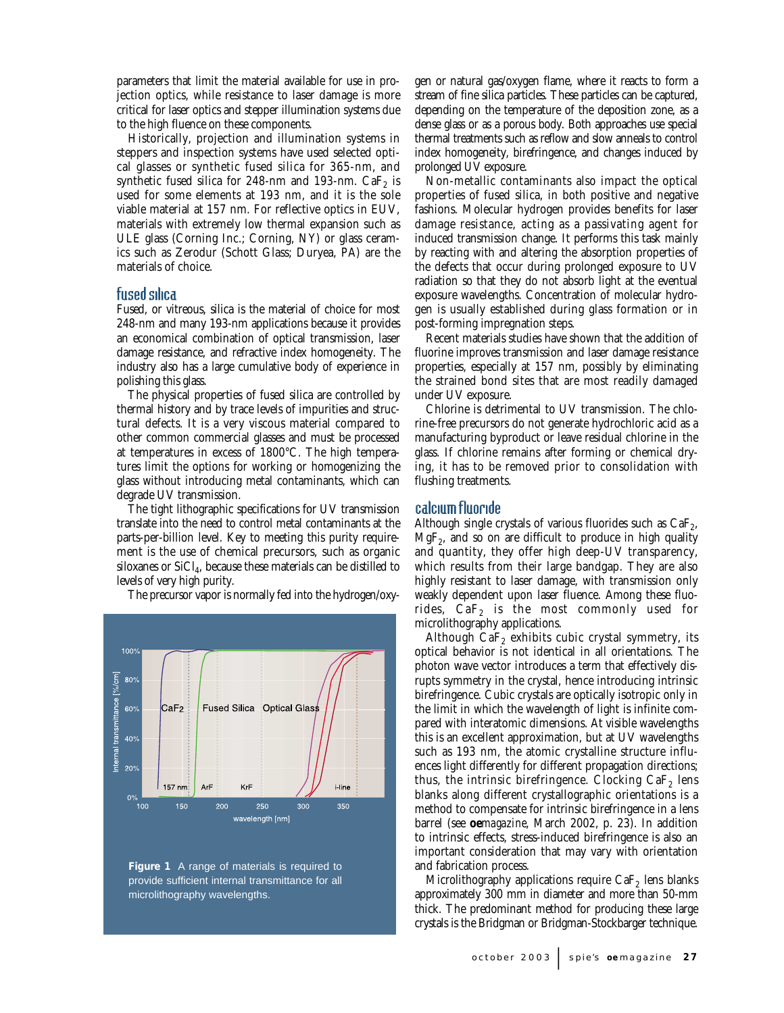parameters that limit the material available for use in projection optics, while resistance to laser damage is more critical for laser optics and stepper illumination systems due to the high fluence on these components.

Historically, projection and illumination systems in steppers and inspection systems have used selected optical glasses or synthetic fused silica for 365-nm, and synthetic fused silica for 248-nm and 193-nm.  $CaF<sub>2</sub>$  is used for some elements at 193 nm, and it is the sole viable material at 157 nm. For reflective optics in EUV, materials with extremely low thermal expansion such as ULE glass (Corning Inc.; Corning, NY) or glass ceramics such as Zerodur (Schott Glass; Duryea, PA) are the materials of choice.

## fused silica

Fused, or vitreous, silica is the material of choice for most 248-nm and many 193-nm applications because it provides an economical combination of optical transmission, laser damage resistance, and refractive index homogeneity. The industry also has a large cumulative body of experience in polishing this glass.

The physical properties of fused silica are controlled by thermal history and by trace levels of impurities and structural defects. It is a very viscous material compared to other common commercial glasses and must be processed at temperatures in excess of 1800°C. The high temperatures limit the options for working or homogenizing the glass without introducing metal contaminants, which can degrade UV transmission.

The tight lithographic specifications for UV transmission translate into the need to control metal contaminants at the parts-per-billion level. Key to meeting this purity requirement is the use of chemical precursors, such as organic siloxanes or  $SiCl<sub>4</sub>$ , because these materials can be distilled to levels of very high purity.

The precursor vapor is normally fed into the hydrogen/oxy-





gen or natural gas/oxygen flame, where it reacts to form a stream of fine silica particles. These particles can be captured, depending on the temperature of the deposition zone, as a dense glass or as a porous body. Both approaches use special thermal treatments such as reflow and slow anneals to control index homogeneity, birefringence, and changes induced by prolonged UV exposure.

Non-metallic contaminants also impact the optical properties of fused silica, in both positive and negative fashions. Molecular hydrogen provides benefits for laser damage resistance, acting as a passivating agent for induced transmission change. It performs this task mainly by reacting with and altering the absorption properties of the defects that occur during prolonged exposure to UV radiation so that they do not absorb light at the eventual exposure wavelengths. Concentration of molecular hydrogen is usually established during glass formation or in post-forming impregnation steps.

Recent materials studies have shown that the addition of fluorine improves transmission and laser damage resistance properties, especially at 157 nm, possibly by eliminating the strained bond sites that are most readily damaged under UV exposure.

Chlorine is detrimental to UV transmission. The chlorine-free precursors do not generate hydrochloric acid as a manufacturing byproduct or leave residual chlorine in the glass. If chlorine remains after forming or chemical drying, it has to be removed prior to consolidation with flushing treatments.

## calcium fluoride

Although single crystals of various fluorides such as  $CaF<sub>2</sub>$ ,  $MgF<sub>2</sub>$ , and so on are difficult to produce in high quality and quantity, they offer high deep-UV transparency, which results from their large bandgap. They are also highly resistant to laser damage, with transmission only weakly dependent upon laser fluence. Among these fluorides,  $CaF<sub>2</sub>$  is the most commonly used for microlithography applications.

Although  $CaF<sub>2</sub>$  exhibits cubic crystal symmetry, its optical behavior is not identical in all orientations. The photon wave vector introduces a term that effectively disrupts symmetry in the crystal, hence introducing intrinsic birefringence. Cubic crystals are optically isotropic only in the limit in which the wavelength of light is infinite compared with interatomic dimensions. At visible wavelengths this is an excellent approximation, but at UV wavelengths such as 193 nm, the atomic crystalline structure influences light differently for different propagation directions; thus, the intrinsic birefringence. Clocking  $CaF<sub>2</sub>$  lens blanks along different crystallographic orientations is a method to compensate for intrinsic birefringence in a lens barrel (see **oe***magazine*, March 2002, p. 23). In addition to intrinsic effects, stress-induced birefringence is also an important consideration that may vary with orientation and fabrication process.

Microlithography applications require  $CaF<sub>2</sub>$  lens blanks approximately 300 mm in diameter and more than 50-mm thick. The predominant method for producing these large crystals is the Bridgman or Bridgman-Stockbarger technique.